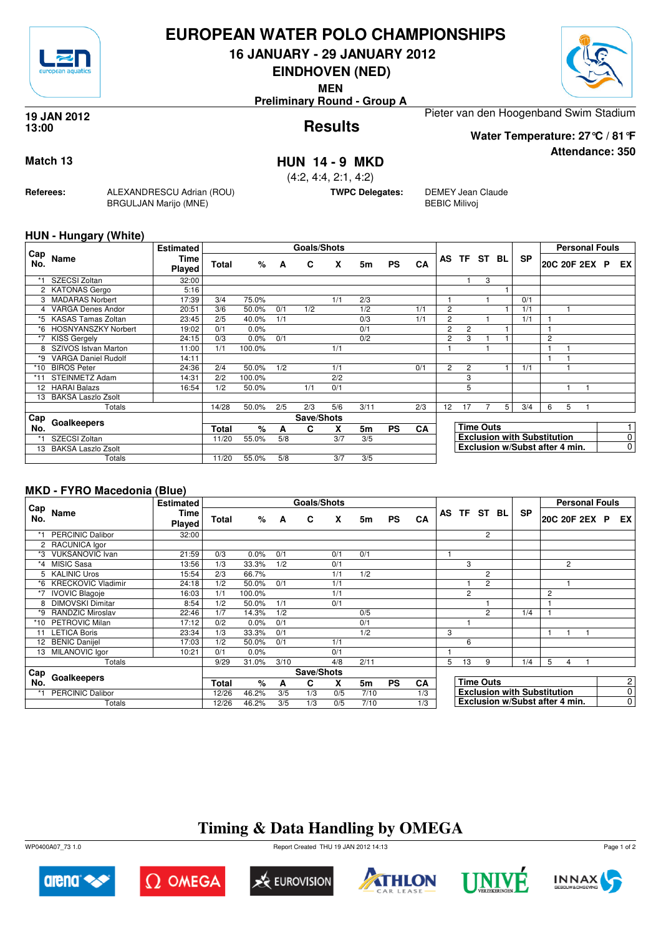

## **EUROPEAN WATER POLO CHAMPIONSHIPS**

**16 JANUARY - 29 JANUARY 2012**

**EINDHOVEN (NED)**

**MEN**

**Preliminary Round - Group A**

#### **Results 19 JAN 2012 13:00**

Pieter van den Hoogenband Swim Stadium

**Water Temperature: 27°C / 81°F**

**Attendance: 350**

## **Match 13 HUN 14 - 9 MKD**

(4:2, 4:4, 2:1, 4:2)

**TWPC Delegates:** DEMEY Jean Claude BEBIC Milivoj

### **HUN - Hungary (White)**

**Referees:** ALEXANDRESCU Adrian (ROU)

BRGULJAN Marijo (MNE)

| Cap  |                            | <b>Estimated</b> |              |        |     | <b>Goals/Shots</b> |     |      |           |           |                |                |                  |   |                                    |   | <b>Personal Fouls</b> |   |                |
|------|----------------------------|------------------|--------------|--------|-----|--------------------|-----|------|-----------|-----------|----------------|----------------|------------------|---|------------------------------------|---|-----------------------|---|----------------|
| No.  | Name                       | Time<br>Played   | Total        | %      | A   | C                  | X   | 5m   | <b>PS</b> | <b>CA</b> | AS             | TF.            | ST BL            |   | <b>SP</b>                          |   | 20C 20F 2EX           | P | EX             |
|      | SZECSI Zoltan              | 32:00            |              |        |     |                    |     |      |           |           |                |                | 3                |   |                                    |   |                       |   |                |
|      | 2 KATONAS Gergo            | 5:16             |              |        |     |                    |     |      |           |           |                |                |                  |   |                                    |   |                       |   |                |
|      | <b>MADARAS Norbert</b>     | 17:39            | 3/4          | 75.0%  |     |                    | 1/1 | 2/3  |           |           |                |                |                  |   | 0/1                                |   |                       |   |                |
|      | <b>VARGA Denes Andor</b>   | 20:51            | 3/6          | 50.0%  | 0/1 | 1/2                |     | 1/2  |           | 1/1       | $\overline{2}$ |                |                  |   | 1/1                                |   |                       |   |                |
|      | *5 KASAS Tamas Zoltan      | 23:45            | 2/5          | 40.0%  | 1/1 |                    |     | 0/3  |           | 1/1       | $\overline{2}$ |                |                  |   | 1/1                                |   |                       |   |                |
| *6   | <b>HOSNYANSZKY Norbert</b> | 19:02            | 0/1          | 0.0%   |     |                    |     | 0/1  |           |           | 2              | $\overline{2}$ |                  |   |                                    |   |                       |   |                |
| *7   | <b>KISS Gergely</b>        | 24:15            | 0/3          | 0.0%   | 0/1 |                    |     | 0/2  |           |           | $\overline{2}$ | 3              |                  |   |                                    | 2 |                       |   |                |
| 8    | SZIVOS Istvan Marton       | 11:00            | 1/1          | 100.0% |     |                    | 1/1 |      |           |           |                |                |                  |   |                                    |   |                       |   |                |
| $*9$ | <b>VARGA Daniel Rudolf</b> | 14:11            |              |        |     |                    |     |      |           |           |                |                |                  |   |                                    |   |                       |   |                |
| *10  | <b>BIROS Peter</b>         | 24:36            | 2/4          | 50.0%  | 1/2 |                    | 1/1 |      |           | 0/1       | $\overline{2}$ | $\overline{2}$ |                  |   | 1/1                                |   |                       |   |                |
| *11  | <b>STEINMETZ Adam</b>      | 14:31            | 2/2          | 100.0% |     |                    | 2/2 |      |           |           |                | 3              |                  |   |                                    |   |                       |   |                |
|      | 12 HARAI Balazs            | 16:54            | 1/2          | 50.0%  |     | 1/1                | 0/1 |      |           |           |                | 5              |                  |   |                                    |   |                       |   |                |
| 13   | <b>BAKSA Laszlo Zsolt</b>  |                  |              |        |     |                    |     |      |           |           |                |                |                  |   |                                    |   |                       |   |                |
|      | Totals                     |                  | 14/28        | 50.0%  | 2/5 | 2/3                | 5/6 | 3/11 |           | 2/3       | 12             | 17             |                  | 5 | 3/4                                | 6 | 5                     |   |                |
| Cap  | Goalkeepers                |                  |              |        |     | Save/Shots         |     |      |           |           |                |                |                  |   |                                    |   |                       |   |                |
| No.  |                            |                  | <b>Total</b> | %      | A   | C                  | X   | 5m   | <b>PS</b> | CA        |                |                | <b>Time Outs</b> |   |                                    |   |                       |   |                |
| *1   | SZECSI Zoltan              |                  | 11/20        | 55.0%  | 5/8 |                    | 3/7 | 3/5  |           |           |                |                |                  |   | <b>Exclusion with Substitution</b> |   |                       |   | 0              |
| 13   | <b>BAKSA Laszlo Zsolt</b>  |                  |              |        |     |                    |     |      |           |           |                |                |                  |   | Exclusion w/Subst after 4 min.     |   |                       |   | $\overline{0}$ |
|      | Totals                     |                  | 11/20        | 55.0%  | 5/8 |                    | 3/7 | 3/5  |           |           |                |                |                  |   |                                    |   |                       |   |                |

### **MKD - FYRO Macedonia (Blue)**

|            |                           | <b>Estimated</b> |       |        |      | <b>Goals/Shots</b> |     |      |           |           |           |                |                  |                                    |   |                | <b>Personal Fouls</b> |                |
|------------|---------------------------|------------------|-------|--------|------|--------------------|-----|------|-----------|-----------|-----------|----------------|------------------|------------------------------------|---|----------------|-----------------------|----------------|
| Cap<br>No. | Name                      | Time<br>Played   | Total | %      | A    | C                  | X   | 5m   | <b>PS</b> | CA        | <b>AS</b> | <b>TF</b>      | ST BL            | <b>SP</b>                          |   |                | 20C 20F 2EX P         | EX I           |
|            | <b>PERCINIC Dalibor</b>   | 32:00            |       |        |      |                    |     |      |           |           |           |                | 2                |                                    |   |                |                       |                |
|            | 2 RACUNICA Igor           |                  |       |        |      |                    |     |      |           |           |           |                |                  |                                    |   |                |                       |                |
| *3         | <b>VUKSANOVIC Ivan</b>    | 21:59            | 0/3   | 0.0%   | 0/1  |                    | 0/1 | 0/1  |           |           |           |                |                  |                                    |   |                |                       |                |
| $*_{4}$    | <b>MISIC Sasa</b>         | 13:56            | 1/3   | 33.3%  | 1/2  |                    | 0/1 |      |           |           |           | 3              |                  |                                    |   | $\overline{2}$ |                       |                |
|            | 5 KALINIC Uros            | 15:54            | 2/3   | 66.7%  |      |                    | 1/1 | 1/2  |           |           |           |                | 2                |                                    |   |                |                       |                |
| *6         | <b>KRECKOVIC Vladimir</b> | 24:18            | 1/2   | 50.0%  | 0/1  |                    | 1/1 |      |           |           |           |                | $\overline{c}$   |                                    |   |                |                       |                |
| *7         | <b>IVOVIC Blagoje</b>     | 16:03            | 1/1   | 100.0% |      |                    | 1/1 |      |           |           |           | $\overline{2}$ |                  |                                    | 2 |                |                       |                |
| 8          | <b>DIMOVSKI Dimitar</b>   | 8:54             | 1/2   | 50.0%  | 1/1  |                    | 0/1 |      |           |           |           |                |                  |                                    |   |                |                       |                |
| *9         | <b>RANDZIC Miroslav</b>   | 22:46            | 1/7   | 14.3%  | 1/2  |                    |     | 0/5  |           |           |           |                | $\mathcal{P}$    | 1/4                                |   |                |                       |                |
| *10        | <b>PETROVIC Milan</b>     | 17:12            | 0/2   | 0.0%   | 0/1  |                    |     | 0/1  |           |           |           |                |                  |                                    |   |                |                       |                |
| 11         | <b>LETICA Boris</b>       | 23:34            | 1/3   | 33.3%  | 0/1  |                    |     | 1/2  |           |           | 3         |                |                  |                                    | 1 |                |                       |                |
|            | 12 BENIC Danijel          | 17:03            | 1/2   | 50.0%  | 0/1  |                    | 1/1 |      |           |           |           | 6              |                  |                                    |   |                |                       |                |
| 13         | MILANOVIC Igor            | 10:21            | 0/1   | 0.0%   |      |                    | 0/1 |      |           |           |           |                |                  |                                    |   |                |                       |                |
|            | Totals                    |                  | 9/29  | 31.0%  | 3/10 |                    | 4/8 | 2/11 |           |           | 5         | 13             | 9                | 1/4                                | 5 | 4              |                       |                |
| Cap        |                           |                  |       |        |      | Save/Shots         |     |      |           |           |           |                |                  |                                    |   |                |                       |                |
| No.        | Goalkeepers               |                  | Total | %      | A    | C                  | X   | 5m   | <b>PS</b> | <b>CA</b> |           |                | <b>Time Outs</b> |                                    |   |                |                       | $\mathbf{2}$   |
| *1         | <b>PERCINIC Dalibor</b>   |                  | 12/26 | 46.2%  | 3/5  | 1/3                | 0/5 | 7/10 |           | 1/3       |           |                |                  | <b>Exclusion with Substitution</b> |   |                |                       | $\overline{0}$ |
|            | Totals                    |                  | 12/26 | 46.2%  | 3/5  | 1/3                | 0/5 | 7/10 |           | 1/3       |           |                |                  | Exclusion w/Subst after 4 min.     |   |                |                       | $\overline{0}$ |

# **Timing & Data Handling by OMEGA**

WP0400A07\_73 1.0 Report Created THU 19 JAN 2012 14:13













Page 1 of 2